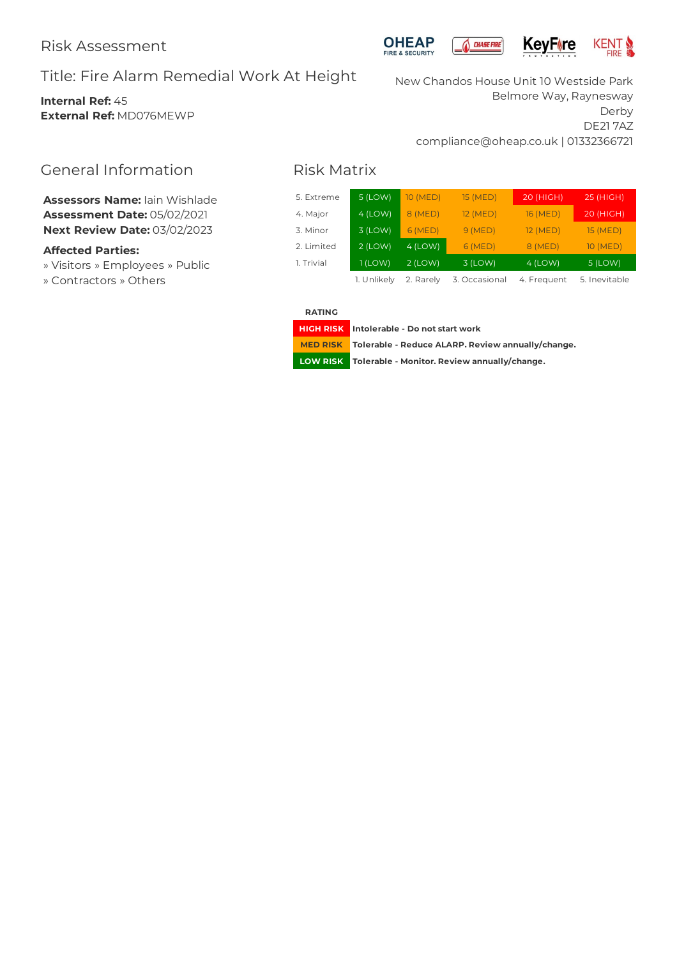# Title: Fire Alarm Remedial Work At Height

## **Internal Ref:** 45 **External Ref:** MD076MEWP





New Chandos House Unit 10 Westside Park Belmore Way, Raynesway Derby DE21 7AZ compliance@oheap.co.uk | 01332366721

# General Information

**Assessors Name:** Iain Wishlade **Assessment Date:** 05/02/2021 **Next Review Date:** 03/02/2023

## **Affected Parties:**

» Visitors » Employees » Public » Contractors » Others

# Risk Matrix

| 5. Extreme | $5$ (LOW)   | <b>10 (MED)</b> | 15 (MED)      | 20 (HIGH)   | 25 (HIGH)       |
|------------|-------------|-----------------|---------------|-------------|-----------------|
| 4. Major   | $4$ (LOW)   | 8 (MED)         | 12 (MED)      | 16 (MED)    | 20 (HIGH)       |
| 3. Minor   | $3$ (LOW)   | 6(MED)          | 9(MED)        | 12 (MED)    | <b>15 (MED)</b> |
| 2. Limited | $2$ (LOW)   | $4$ (LOW)       | 6(MED)        | 8 (MED)     | 10 (MED)        |
| 1. Trivial | 1 (LOW)     | $2$ (LOW)       | 3 (LOW)       | $4$ (LOW)   | 5 (LOW)         |
|            | 1. Unlikely | 2. Rarely       | 3. Occasional | 4. Frequent | 5. Inevitable   |

**RATING**

**HIGH RISK Intolerable - Do notstart work**

**MED RISK Tolerable - Reduce ALARP. Review annually/change.**

**LOW RISK Tolerable - Monitor. Review annually/change.**